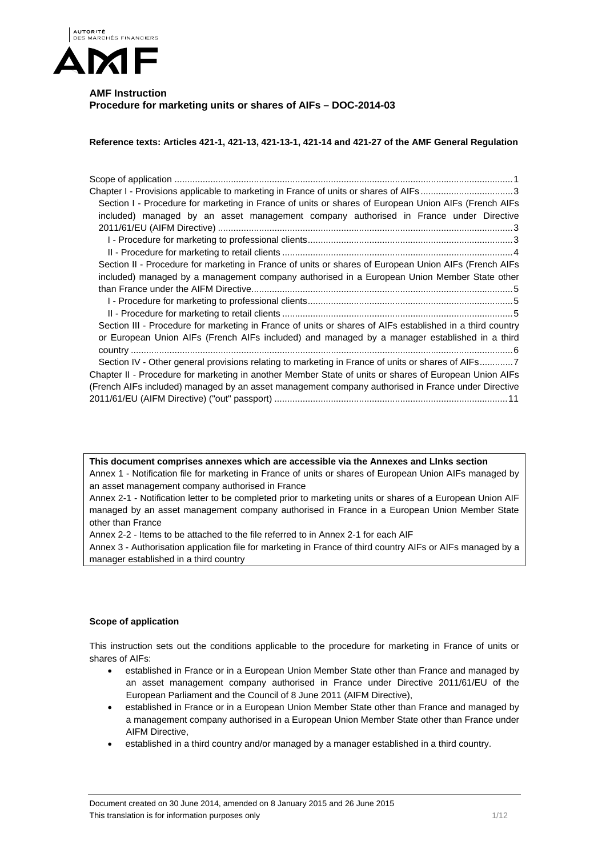

# **AMF Instruction Procedure for marketing units or shares of AIFs – DOC-2014-03**

**Reference texts: Articles 421-1, 421-13, 421-13-1, 421-14 and 421-27 of the AMF General Regulation** 

| Chapter I - Provisions applicable to marketing in France of units or shares of AIFs3                      |
|-----------------------------------------------------------------------------------------------------------|
| Section I - Procedure for marketing in France of units or shares of European Union AIFs (French AIFs      |
| included) managed by an asset management company authorised in France under Directive                     |
|                                                                                                           |
|                                                                                                           |
|                                                                                                           |
| Section II - Procedure for marketing in France of units or shares of European Union AIFs (French AIFs     |
| included) managed by a management company authorised in a European Union Member State other               |
|                                                                                                           |
|                                                                                                           |
|                                                                                                           |
| Section III - Procedure for marketing in France of units or shares of AIFs established in a third country |
| or European Union AIFs (French AIFs included) and managed by a manager established in a third             |
|                                                                                                           |
| Section IV - Other general provisions relating to marketing in France of units or shares of AIFs7         |
| Chapter II - Procedure for marketing in another Member State of units or shares of European Union AIFs    |
| (French AIFs included) managed by an asset management company authorised in France under Directive        |
|                                                                                                           |
|                                                                                                           |

**This document comprises annexes which are accessible via the Annexes and LInks section**  Annex 1 - Notification file for marketing in France of units or shares of European Union AIFs managed by an asset management company authorised in France

Annex 2-1 - Notification letter to be completed prior to marketing units or shares of a European Union AIF managed by an asset management company authorised in France in a European Union Member State other than France

Annex 2-2 - Items to be attached to the file referred to in Annex 2-1 for each AIF

Annex 3 - Authorisation application file for marketing in France of third country AIFs or AIFs managed by a manager established in a third country

## **Scope of application**

This instruction sets out the conditions applicable to the procedure for marketing in France of units or shares of AIFs:

- established in France or in a European Union Member State other than France and managed by an asset management company authorised in France under Directive 2011/61/EU of the European Parliament and the Council of 8 June 2011 (AIFM Directive),
- established in France or in a European Union Member State other than France and managed by a management company authorised in a European Union Member State other than France under AIFM Directive,
- established in a third country and/or managed by a manager established in a third country.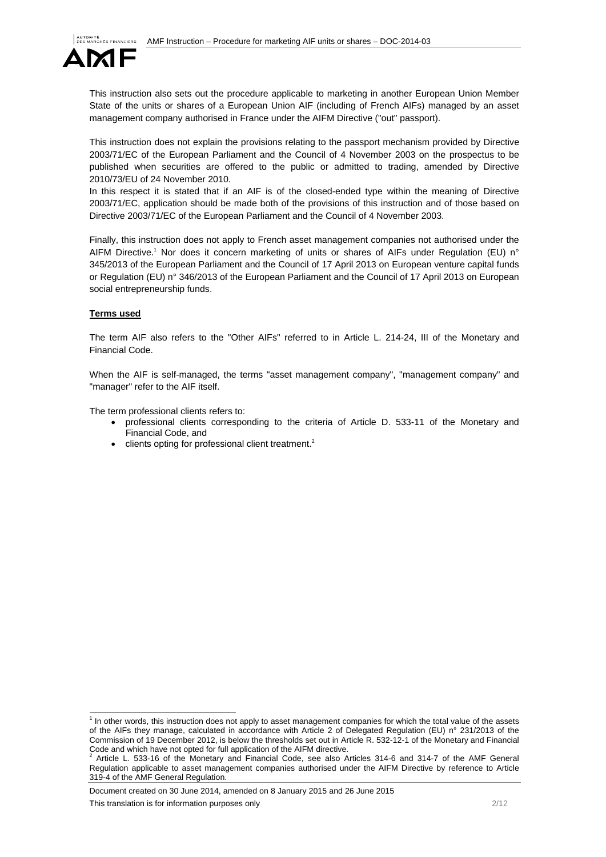

This instruction also sets out the procedure applicable to marketing in another European Union Member State of the units or shares of a European Union AIF (including of French AIFs) managed by an asset management company authorised in France under the AIFM Directive ("out" passport).

This instruction does not explain the provisions relating to the passport mechanism provided by Directive 2003/71/EC of the European Parliament and the Council of 4 November 2003 on the prospectus to be published when securities are offered to the public or admitted to trading, amended by Directive 2010/73/EU of 24 November 2010.

In this respect it is stated that if an AIF is of the closed-ended type within the meaning of Directive 2003/71/EC, application should be made both of the provisions of this instruction and of those based on Directive 2003/71/EC of the European Parliament and the Council of 4 November 2003.

Finally, this instruction does not apply to French asset management companies not authorised under the AIFM Directive.<sup>1</sup> Nor does it concern marketing of units or shares of AIFs under Regulation (EU) n° 345/2013 of the European Parliament and the Council of 17 April 2013 on European venture capital funds or Regulation (EU) n° 346/2013 of the European Parliament and the Council of 17 April 2013 on European social entrepreneurship funds.

### **Terms used**

The term AIF also refers to the "Other AIFs" referred to in Article L. 214-24, III of the Monetary and Financial Code.

When the AIF is self-managed, the terms "asset management company", "management company" and "manager" refer to the AIF itself.

The term professional clients refers to:

- professional clients corresponding to the criteria of Article D. 533-11 of the Monetary and Financial Code, and
- $\bullet$  clients opting for professional client treatment.<sup>2</sup>

Document created on 30 June 2014, amended on 8 January 2015 and 26 June 2015 This translation is for information purposes only the contract of the contract of the contract of the contract of the contract of the contract of the contract of the contract of the contract of the contract of the contract

 1 In other words, this instruction does not apply to asset management companies for which the total value of the assets of the AIFs they manage, calculated in accordance with Article 2 of Delegated Regulation (EU) n° 231/2013 of the Commission of 19 December 2012, is below the thresholds set out in Article R. 532-12-1 of the Monetary and Financial Code and which have not opted for full application of the AIFM directive.<br> $2.0$  tigle 1. 533.46 of the Menatery and Financial Code, see also 0.

Article L. 533-16 of the Monetary and Financial Code, see also Articles 314-6 and 314-7 of the AMF General Regulation applicable to asset management companies authorised under the AIFM Directive by reference to Article 319-4 of the AMF General Regulation.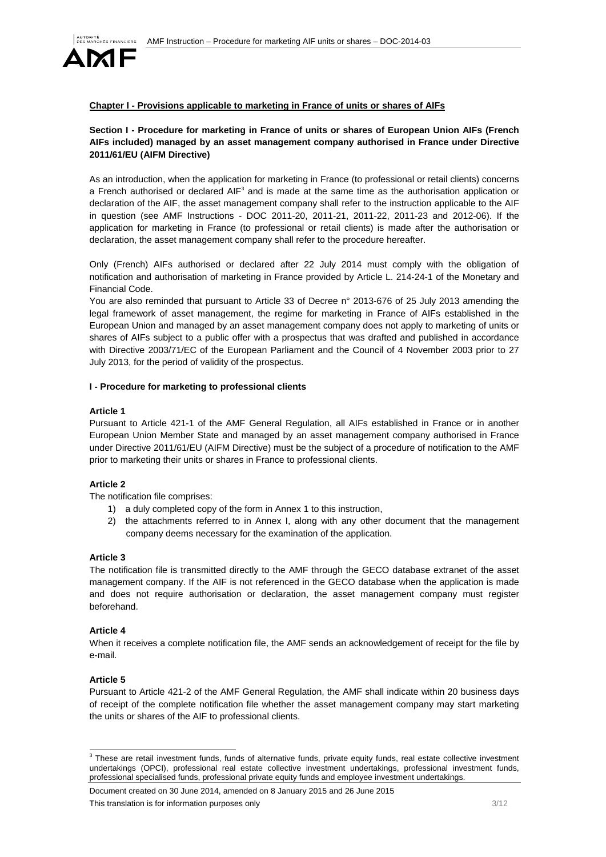

## **Chapter I - Provisions applicable to marketing in France of units or shares of AIFs**

## **Section I - Procedure for marketing in France of units or shares of European Union AIFs (French AIFs included) managed by an asset management company authorised in France under Directive 2011/61/EU (AIFM Directive)**

As an introduction, when the application for marketing in France (to professional or retail clients) concerns a French authorised or declared AIF<sup>3</sup> and is made at the same time as the authorisation application or declaration of the AIF, the asset management company shall refer to the instruction applicable to the AIF in question (see AMF Instructions - DOC 2011-20, 2011-21, 2011-22, 2011-23 and 2012-06). If the application for marketing in France (to professional or retail clients) is made after the authorisation or declaration, the asset management company shall refer to the procedure hereafter.

Only (French) AIFs authorised or declared after 22 July 2014 must comply with the obligation of notification and authorisation of marketing in France provided by Article L. 214-24-1 of the Monetary and Financial Code.

You are also reminded that pursuant to Article 33 of Decree n° 2013-676 of 25 July 2013 amending the legal framework of asset management, the regime for marketing in France of AIFs established in the European Union and managed by an asset management company does not apply to marketing of units or shares of AIFs subject to a public offer with a prospectus that was drafted and published in accordance with Directive 2003/71/EC of the European Parliament and the Council of 4 November 2003 prior to 27 July 2013, for the period of validity of the prospectus.

#### **I - Procedure for marketing to professional clients**

#### **Article 1**

Pursuant to Article 421-1 of the AMF General Regulation, all AIFs established in France or in another European Union Member State and managed by an asset management company authorised in France under Directive 2011/61/EU (AIFM Directive) must be the subject of a procedure of notification to the AMF prior to marketing their units or shares in France to professional clients.

### **Article 2**

The notification file comprises:

- 1) a duly completed copy of the form in Annex 1 to this instruction,
- 2) the attachments referred to in Annex I, along with any other document that the management company deems necessary for the examination of the application.

#### **Article 3**

The notification file is transmitted directly to the AMF through the GECO database extranet of the asset management company. If the AIF is not referenced in the GECO database when the application is made and does not require authorisation or declaration, the asset management company must register beforehand.

### **Article 4**

When it receives a complete notification file, the AMF sends an acknowledgement of receipt for the file by e-mail.

### **Article 5**

Pursuant to Article 421-2 of the AMF General Regulation, the AMF shall indicate within 20 business days of receipt of the complete notification file whether the asset management company may start marketing the units or shares of the AIF to professional clients.

Document created on 30 June 2014, amended on 8 January 2015 and 26 June 2015 This translation is for information purposes only 3/12

 3 These are retail investment funds, funds of alternative funds, private equity funds, real estate collective investment undertakings (OPCI), professional real estate collective investment undertakings, professional investment funds, professional specialised funds, professional private equity funds and employee investment undertakings.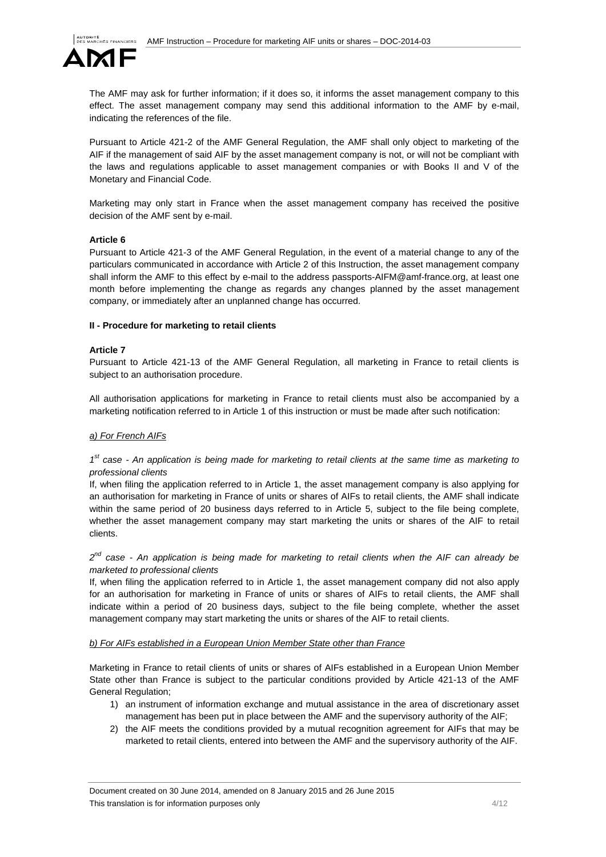

The AMF may ask for further information; if it does so, it informs the asset management company to this effect. The asset management company may send this additional information to the AMF by e-mail, indicating the references of the file.

Pursuant to Article 421-2 of the AMF General Regulation, the AMF shall only object to marketing of the AIF if the management of said AIF by the asset management company is not, or will not be compliant with the laws and regulations applicable to asset management companies or with Books II and V of the Monetary and Financial Code.

Marketing may only start in France when the asset management company has received the positive decision of the AMF sent by e-mail.

### **Article 6**

Pursuant to Article 421-3 of the AMF General Regulation, in the event of a material change to any of the particulars communicated in accordance with Article 2 of this Instruction, the asset management company shall inform the AMF to this effect by e-mail to the address passports-AIFM@amf-france.org, at least one month before implementing the change as regards any changes planned by the asset management company, or immediately after an unplanned change has occurred.

### **II - Procedure for marketing to retail clients**

### **Article 7**

Pursuant to Article 421-13 of the AMF General Regulation, all marketing in France to retail clients is subject to an authorisation procedure.

All authorisation applications for marketing in France to retail clients must also be accompanied by a marketing notification referred to in Article 1 of this instruction or must be made after such notification:

### *a) For French AIFs*

## *1st case - An application is being made for marketing to retail clients at the same time as marketing to professional clients*

If, when filing the application referred to in Article 1, the asset management company is also applying for an authorisation for marketing in France of units or shares of AIFs to retail clients, the AMF shall indicate within the same period of 20 business days referred to in Article 5, subject to the file being complete, whether the asset management company may start marketing the units or shares of the AIF to retail clients.

*2nd case - An application is being made for marketing to retail clients when the AIF can already be marketed to professional clients* 

If, when filing the application referred to in Article 1, the asset management company did not also apply for an authorisation for marketing in France of units or shares of AIFs to retail clients, the AMF shall indicate within a period of 20 business days, subject to the file being complete, whether the asset management company may start marketing the units or shares of the AIF to retail clients.

### *b) For AIFs established in a European Union Member State other than France*

Marketing in France to retail clients of units or shares of AIFs established in a European Union Member State other than France is subject to the particular conditions provided by Article 421-13 of the AMF General Regulation;

- 1) an instrument of information exchange and mutual assistance in the area of discretionary asset management has been put in place between the AMF and the supervisory authority of the AIF;
- 2) the AIF meets the conditions provided by a mutual recognition agreement for AIFs that may be marketed to retail clients, entered into between the AMF and the supervisory authority of the AIF.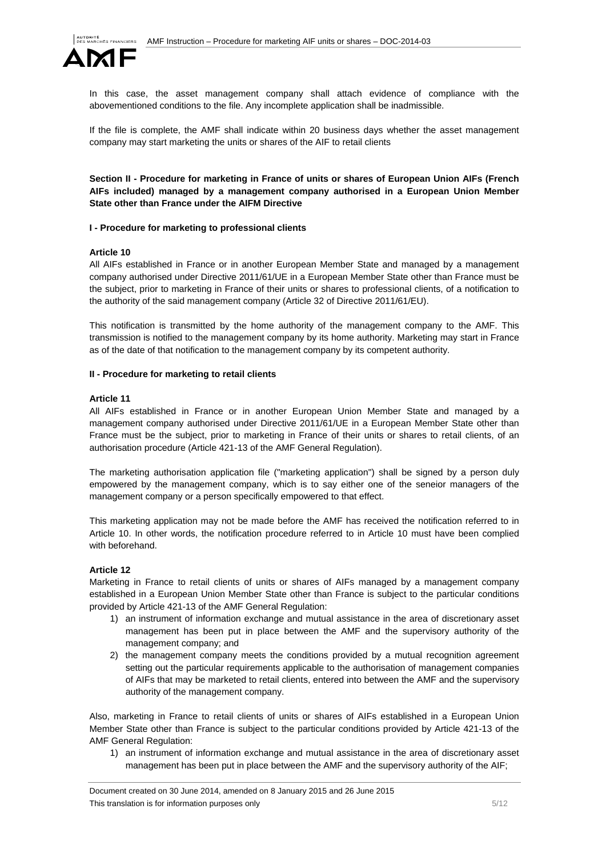

In this case, the asset management company shall attach evidence of compliance with the abovementioned conditions to the file. Any incomplete application shall be inadmissible.

If the file is complete, the AMF shall indicate within 20 business days whether the asset management company may start marketing the units or shares of the AIF to retail clients

**Section II - Procedure for marketing in France of units or shares of European Union AIFs (French AIFs included) managed by a management company authorised in a European Union Member State other than France under the AIFM Directive** 

### **I - Procedure for marketing to professional clients**

### **Article 10**

All AIFs established in France or in another European Member State and managed by a management company authorised under Directive 2011/61/UE in a European Member State other than France must be the subject, prior to marketing in France of their units or shares to professional clients, of a notification to the authority of the said management company (Article 32 of Directive 2011/61/EU).

This notification is transmitted by the home authority of the management company to the AMF. This transmission is notified to the management company by its home authority. Marketing may start in France as of the date of that notification to the management company by its competent authority.

### **II - Procedure for marketing to retail clients**

### **Article 11**

All AIFs established in France or in another European Union Member State and managed by a management company authorised under Directive 2011/61/UE in a European Member State other than France must be the subject, prior to marketing in France of their units or shares to retail clients, of an authorisation procedure (Article 421-13 of the AMF General Regulation).

The marketing authorisation application file ("marketing application") shall be signed by a person duly empowered by the management company, which is to say either one of the seneior managers of the management company or a person specifically empowered to that effect.

This marketing application may not be made before the AMF has received the notification referred to in Article 10. In other words, the notification procedure referred to in Article 10 must have been complied with beforehand.

## **Article 12**

Marketing in France to retail clients of units or shares of AIFs managed by a management company established in a European Union Member State other than France is subject to the particular conditions provided by Article 421-13 of the AMF General Regulation:

- 1) an instrument of information exchange and mutual assistance in the area of discretionary asset management has been put in place between the AMF and the supervisory authority of the management company; and
- 2) the management company meets the conditions provided by a mutual recognition agreement setting out the particular requirements applicable to the authorisation of management companies of AIFs that may be marketed to retail clients, entered into between the AMF and the supervisory authority of the management company.

Also, marketing in France to retail clients of units or shares of AIFs established in a European Union Member State other than France is subject to the particular conditions provided by Article 421-13 of the AMF General Regulation:

1) an instrument of information exchange and mutual assistance in the area of discretionary asset management has been put in place between the AMF and the supervisory authority of the AIF;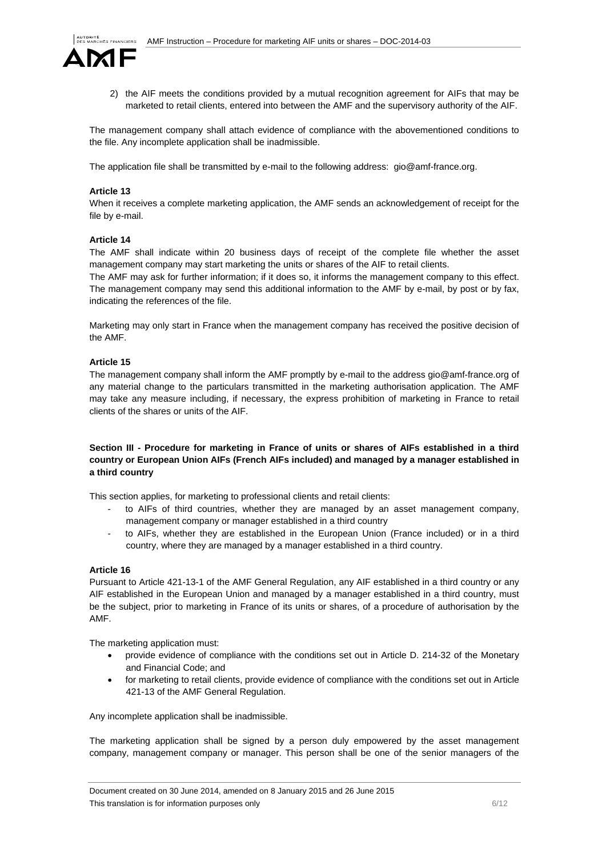

2) the AIF meets the conditions provided by a mutual recognition agreement for AIFs that may be marketed to retail clients, entered into between the AMF and the supervisory authority of the AIF.

The management company shall attach evidence of compliance with the abovementioned conditions to the file. Any incomplete application shall be inadmissible.

The application file shall be transmitted by e-mail to the following address: gio@amf-france.org.

### **Article 13**

When it receives a complete marketing application, the AMF sends an acknowledgement of receipt for the file by e-mail.

### **Article 14**

The AMF shall indicate within 20 business days of receipt of the complete file whether the asset management company may start marketing the units or shares of the AIF to retail clients.

The AMF may ask for further information; if it does so, it informs the management company to this effect. The management company may send this additional information to the AMF by e-mail, by post or by fax, indicating the references of the file.

Marketing may only start in France when the management company has received the positive decision of the AMF.

### **Article 15**

The management company shall inform the AMF promptly by e-mail to the address gio@amf-france.org of any material change to the particulars transmitted in the marketing authorisation application. The AMF may take any measure including, if necessary, the express prohibition of marketing in France to retail clients of the shares or units of the AIF.

## **Section III - Procedure for marketing in France of units or shares of AIFs established in a third country or European Union AIFs (French AIFs included) and managed by a manager established in a third country**

This section applies, for marketing to professional clients and retail clients:

- to AIFs of third countries, whether they are managed by an asset management company, management company or manager established in a third country
- to AIFs, whether they are established in the European Union (France included) or in a third country, where they are managed by a manager established in a third country.

### **Article 16**

Pursuant to Article 421-13-1 of the AMF General Regulation, any AIF established in a third country or any AIF established in the European Union and managed by a manager established in a third country, must be the subject, prior to marketing in France of its units or shares, of a procedure of authorisation by the AMF.

The marketing application must:

- provide evidence of compliance with the conditions set out in Article D. 214-32 of the Monetary and Financial Code; and
- for marketing to retail clients, provide evidence of compliance with the conditions set out in Article 421-13 of the AMF General Regulation.

Any incomplete application shall be inadmissible.

The marketing application shall be signed by a person duly empowered by the asset management company, management company or manager. This person shall be one of the senior managers of the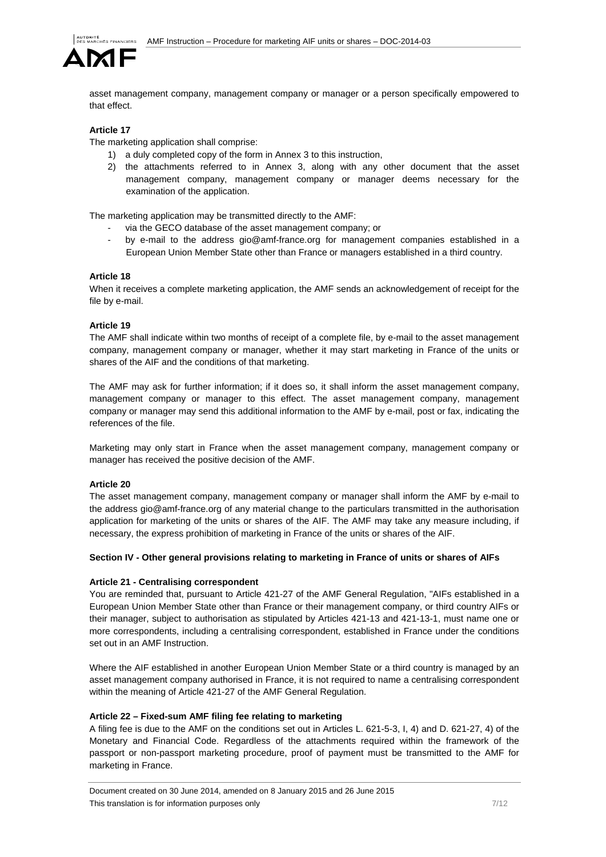

asset management company, management company or manager or a person specifically empowered to that effect.

# **Article 17**

The marketing application shall comprise:

- 1) a duly completed copy of the form in Annex 3 to this instruction,
- 2) the attachments referred to in Annex 3, along with any other document that the asset management company, management company or manager deems necessary for the examination of the application.

The marketing application may be transmitted directly to the AMF:

- via the GECO database of the asset management company; or
- by e-mail to the address gio@amf-france.org for management companies established in a European Union Member State other than France or managers established in a third country.

### **Article 18**

When it receives a complete marketing application, the AMF sends an acknowledgement of receipt for the file by e-mail.

### **Article 19**

The AMF shall indicate within two months of receipt of a complete file, by e-mail to the asset management company, management company or manager, whether it may start marketing in France of the units or shares of the AIF and the conditions of that marketing.

The AMF may ask for further information; if it does so, it shall inform the asset management company, management company or manager to this effect. The asset management company, management company or manager may send this additional information to the AMF by e-mail, post or fax, indicating the references of the file.

Marketing may only start in France when the asset management company, management company or manager has received the positive decision of the AMF.

### **Article 20**

The asset management company, management company or manager shall inform the AMF by e-mail to the address gio@amf-france.org of any material change to the particulars transmitted in the authorisation application for marketing of the units or shares of the AIF. The AMF may take any measure including, if necessary, the express prohibition of marketing in France of the units or shares of the AIF.

### **Section IV - Other general provisions relating to marketing in France of units or shares of AIFs**

### **Article 21 - Centralising correspondent**

You are reminded that, pursuant to Article 421-27 of the AMF General Regulation, "AIFs established in a European Union Member State other than France or their management company, or third country AIFs or their manager, subject to authorisation as stipulated by Articles 421-13 and 421-13-1, must name one or more correspondents, including a centralising correspondent, established in France under the conditions set out in an AMF Instruction.

Where the AIF established in another European Union Member State or a third country is managed by an asset management company authorised in France, it is not required to name a centralising correspondent within the meaning of Article 421-27 of the AMF General Regulation.

### **Article 22 – Fixed-sum AMF filing fee relating to marketing**

A filing fee is due to the AMF on the conditions set out in Articles L. 621-5-3, I, 4) and D. 621-27, 4) of the Monetary and Financial Code. Regardless of the attachments required within the framework of the passport or non-passport marketing procedure, proof of payment must be transmitted to the AMF for marketing in France.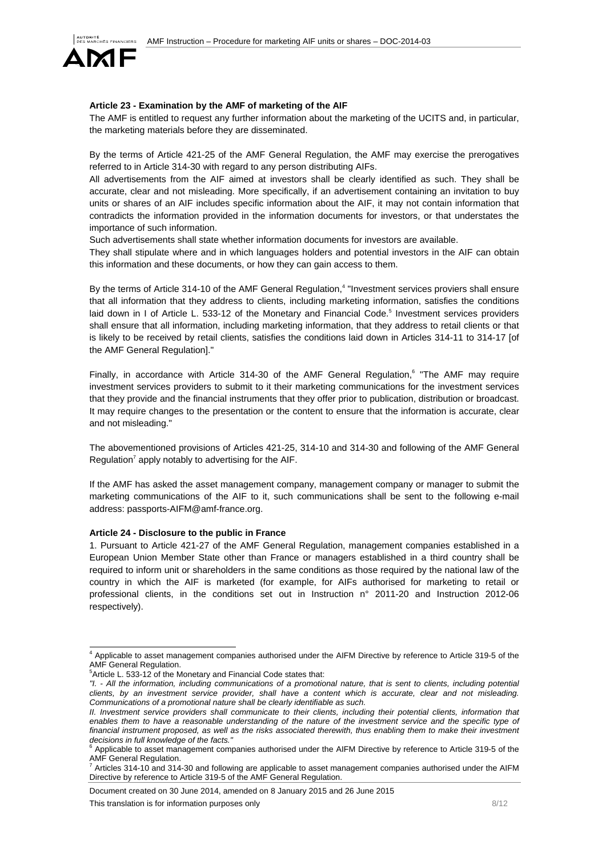

## **Article 23 - Examination by the AMF of marketing of the AIF**

The AMF is entitled to request any further information about the marketing of the UCITS and, in particular, the marketing materials before they are disseminated.

By the terms of Article 421-25 of the AMF General Regulation, the AMF may exercise the prerogatives referred to in Article 314-30 with regard to any person distributing AIFs.

All advertisements from the AIF aimed at investors shall be clearly identified as such. They shall be accurate, clear and not misleading. More specifically, if an advertisement containing an invitation to buy units or shares of an AIF includes specific information about the AIF, it may not contain information that contradicts the information provided in the information documents for investors, or that understates the importance of such information.

Such advertisements shall state whether information documents for investors are available.

They shall stipulate where and in which languages holders and potential investors in the AIF can obtain this information and these documents, or how they can gain access to them.

By the terms of Article 314-10 of the AMF General Regulation,<sup>4</sup> "Investment services proviers shall ensure that all information that they address to clients, including marketing information, satisfies the conditions laid down in I of Article L. 533-12 of the Monetary and Financial Code.<sup>5</sup> Investment services providers shall ensure that all information, including marketing information, that they address to retail clients or that is likely to be received by retail clients, satisfies the conditions laid down in Articles 314-11 to 314-17 [of the AMF General Regulation]."

Finally, in accordance with Article 314-30 of the AMF General Regulation,<sup>6</sup> "The AMF may require investment services providers to submit to it their marketing communications for the investment services that they provide and the financial instruments that they offer prior to publication, distribution or broadcast. It may require changes to the presentation or the content to ensure that the information is accurate, clear and not misleading."

The abovementioned provisions of Articles 421-25, 314-10 and 314-30 and following of the AMF General Regulation<sup>7</sup> apply notably to advertising for the AIF.

If the AMF has asked the asset management company, management company or manager to submit the marketing communications of the AIF to it, such communications shall be sent to the following e-mail address: passports-AIFM@amf-france.org.

### **Article 24 - Disclosure to the public in France**

1. Pursuant to Article 421-27 of the AMF General Regulation, management companies established in a European Union Member State other than France or managers established in a third country shall be required to inform unit or shareholders in the same conditions as those required by the national law of the country in which the AIF is marketed (for example, for AIFs authorised for marketing to retail or professional clients, in the conditions set out in Instruction n° 2011-20 and Instruction 2012-06 respectively).

Document created on 30 June 2014, amended on 8 January 2015 and 26 June 2015

 4 Applicable to asset management companies authorised under the AIFM Directive by reference to Article 319-5 of the AMF General Regulation.

<sup>5</sup> Article L. 533-12 of the Monetary and Financial Code states that:

*<sup>&</sup>quot;I. - All the information, including communications of a promotional nature, that is sent to clients, including potential clients, by an investment service provider, shall have a content which is accurate, clear and not misleading. Communications of a promotional nature shall be clearly identifiable as such.* 

*II. Investment service providers shall communicate to their clients, including their potential clients, information that*  enables them to have a reasonable understanding of the nature of the investment service and the specific type of *financial instrument proposed, as well as the risks associated therewith, thus enabling them to make their investment decisions in full knowledge of the facts."* 6

Applicable to asset management companies authorised under the AIFM Directive by reference to Article 319-5 of the AMF General Regulation.<br>
<sup>7</sup> Articles 314, 10 and 314

Articles 314-10 and 314-30 and following are applicable to asset management companies authorised under the AIFM Directive by reference to Article 319-5 of the AMF General Regulation.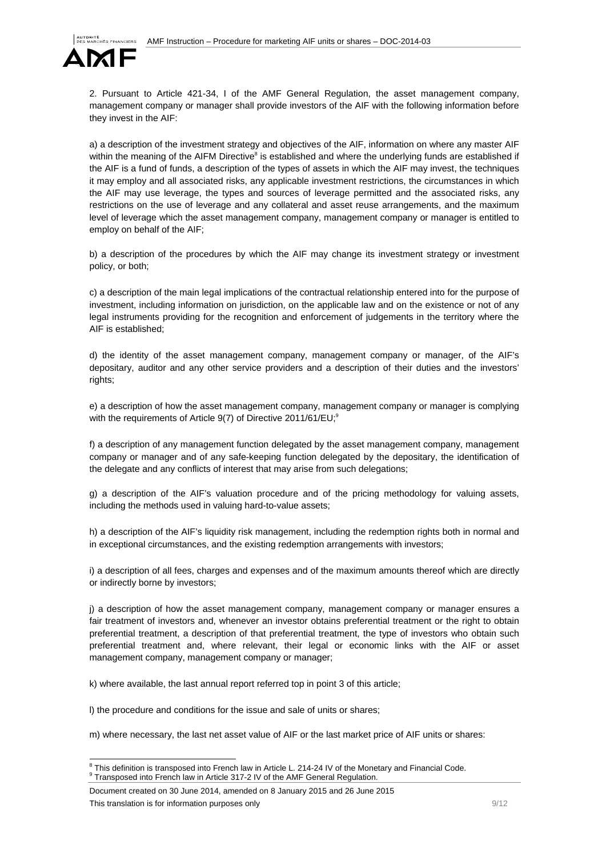

2. Pursuant to Article 421-34, I of the AMF General Regulation, the asset management company, management company or manager shall provide investors of the AIF with the following information before they invest in the AIF:

a) a description of the investment strategy and objectives of the AIF, information on where any master AIF within the meaning of the AIFM Directive<sup>8</sup> is established and where the underlying funds are established if the AIF is a fund of funds, a description of the types of assets in which the AIF may invest, the techniques it may employ and all associated risks, any applicable investment restrictions, the circumstances in which the AIF may use leverage, the types and sources of leverage permitted and the associated risks, any restrictions on the use of leverage and any collateral and asset reuse arrangements, and the maximum level of leverage which the asset management company, management company or manager is entitled to employ on behalf of the AIF;

b) a description of the procedures by which the AIF may change its investment strategy or investment policy, or both;

c) a description of the main legal implications of the contractual relationship entered into for the purpose of investment, including information on jurisdiction, on the applicable law and on the existence or not of any legal instruments providing for the recognition and enforcement of judgements in the territory where the AIF is established;

d) the identity of the asset management company, management company or manager, of the AIF's depositary, auditor and any other service providers and a description of their duties and the investors' rights;

e) a description of how the asset management company, management company or manager is complying with the requirements of Article  $9(7)$  of Directive 2011/61/EU;<sup>9</sup>

f) a description of any management function delegated by the asset management company, management company or manager and of any safe-keeping function delegated by the depositary, the identification of the delegate and any conflicts of interest that may arise from such delegations;

g) a description of the AIF's valuation procedure and of the pricing methodology for valuing assets, including the methods used in valuing hard-to-value assets;

h) a description of the AIF's liquidity risk management, including the redemption rights both in normal and in exceptional circumstances, and the existing redemption arrangements with investors;

i) a description of all fees, charges and expenses and of the maximum amounts thereof which are directly or indirectly borne by investors;

j) a description of how the asset management company, management company or manager ensures a fair treatment of investors and, whenever an investor obtains preferential treatment or the right to obtain preferential treatment, a description of that preferential treatment, the type of investors who obtain such preferential treatment and, where relevant, their legal or economic links with the AIF or asset management company, management company or manager;

k) where available, the last annual report referred top in point 3 of this article;

l) the procedure and conditions for the issue and sale of units or shares;

m) where necessary, the last net asset value of AIF or the last market price of AIF units or shares:

<sup>&</sup>lt;sup>8</sup> This definition is transposed into French law in Article L. 214-24 IV of the Monetary and Financial Code. Transposed into French law in Article 317-2 IV of the AMF General Regulation.

Document created on 30 June 2014, amended on 8 January 2015 and 26 June 2015 This translation is for information purposes only measured by the state of the state of 12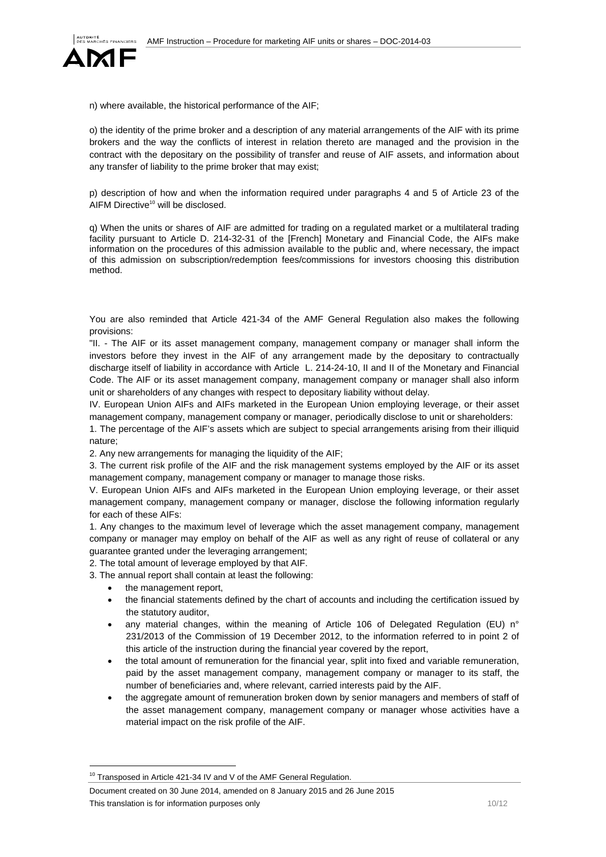

n) where available, the historical performance of the AIF;

o) the identity of the prime broker and a description of any material arrangements of the AIF with its prime brokers and the way the conflicts of interest in relation thereto are managed and the provision in the contract with the depositary on the possibility of transfer and reuse of AIF assets, and information about any transfer of liability to the prime broker that may exist;

p) description of how and when the information required under paragraphs 4 and 5 of Article 23 of the AIFM Directive<sup>10</sup> will be disclosed.

q) When the units or shares of AIF are admitted for trading on a regulated market or a multilateral trading facility pursuant to Article D. 214-32-31 of the [French] Monetary and Financial Code, the AIFs make information on the procedures of this admission available to the public and, where necessary, the impact of this admission on subscription/redemption fees/commissions for investors choosing this distribution method.

You are also reminded that Article 421-34 of the AMF General Regulation also makes the following provisions:

"II. - The AIF or its asset management company, management company or manager shall inform the investors before they invest in the AIF of any arrangement made by the depositary to contractually discharge itself of liability in accordance with Article L. 214-24-10, II and II of the Monetary and Financial Code. The AIF or its asset management company, management company or manager shall also inform unit or shareholders of any changes with respect to depositary liability without delay.

IV. European Union AIFs and AIFs marketed in the European Union employing leverage, or their asset management company, management company or manager, periodically disclose to unit or shareholders:

1. The percentage of the AIF's assets which are subject to special arrangements arising from their illiquid nature;

2. Any new arrangements for managing the liquidity of the AIF;

3. The current risk profile of the AIF and the risk management systems employed by the AIF or its asset management company, management company or manager to manage those risks.

V. European Union AIFs and AIFs marketed in the European Union employing leverage, or their asset management company, management company or manager, disclose the following information regularly for each of these AIFs:

1. Any changes to the maximum level of leverage which the asset management company, management company or manager may employ on behalf of the AIF as well as any right of reuse of collateral or any guarantee granted under the leveraging arrangement;

2. The total amount of leverage employed by that AIF.

3. The annual report shall contain at least the following:

the management report,

l

- the financial statements defined by the chart of accounts and including the certification issued by the statutory auditor,
- any material changes, within the meaning of Article 106 of Delegated Regulation (EU) n° 231/2013 of the Commission of 19 December 2012, to the information referred to in point 2 of this article of the instruction during the financial year covered by the report,
- the total amount of remuneration for the financial year, split into fixed and variable remuneration, paid by the asset management company, management company or manager to its staff, the number of beneficiaries and, where relevant, carried interests paid by the AIF.
- the aggregate amount of remuneration broken down by senior managers and members of staff of the asset management company, management company or manager whose activities have a material impact on the risk profile of the AIF.

<sup>&</sup>lt;sup>10</sup> Transposed in Article 421-34 IV and V of the AMF General Regulation.

Document created on 30 June 2014, amended on 8 January 2015 and 26 June 2015 This translation is for information purposes only 10/12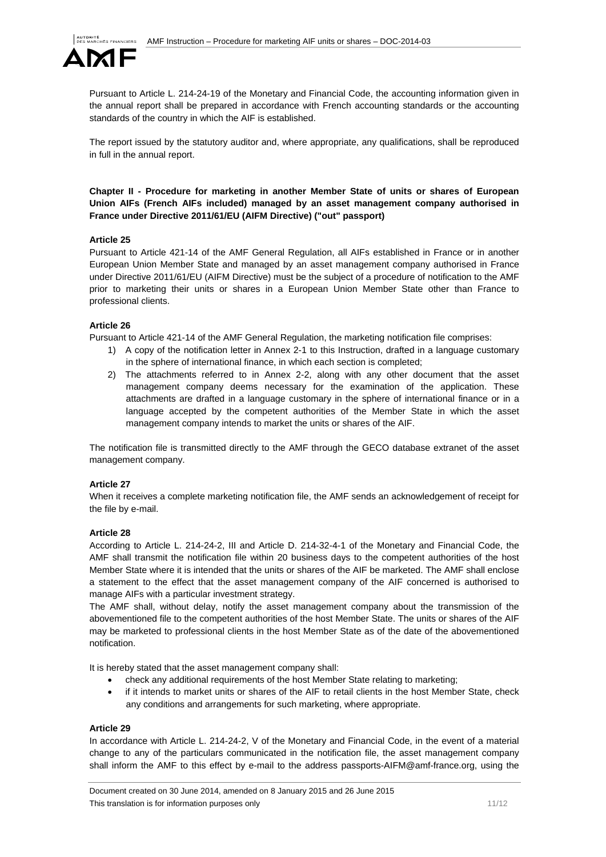

Pursuant to Article L. 214-24-19 of the Monetary and Financial Code, the accounting information given in the annual report shall be prepared in accordance with French accounting standards or the accounting standards of the country in which the AIF is established.

The report issued by the statutory auditor and, where appropriate, any qualifications, shall be reproduced in full in the annual report.

**Chapter II - Procedure for marketing in another Member State of units or shares of European Union AIFs (French AIFs included) managed by an asset management company authorised in France under Directive 2011/61/EU (AIFM Directive) ("out" passport)** 

### **Article 25**

Pursuant to Article 421-14 of the AMF General Regulation, all AIFs established in France or in another European Union Member State and managed by an asset management company authorised in France under Directive 2011/61/EU (AIFM Directive) must be the subject of a procedure of notification to the AMF prior to marketing their units or shares in a European Union Member State other than France to professional clients.

### **Article 26**

Pursuant to Article 421-14 of the AMF General Regulation, the marketing notification file comprises:

- 1) A copy of the notification letter in Annex 2-1 to this Instruction, drafted in a language customary in the sphere of international finance, in which each section is completed;
- 2) The attachments referred to in Annex 2-2, along with any other document that the asset management company deems necessary for the examination of the application. These attachments are drafted in a language customary in the sphere of international finance or in a language accepted by the competent authorities of the Member State in which the asset management company intends to market the units or shares of the AIF.

The notification file is transmitted directly to the AMF through the GECO database extranet of the asset management company.

### **Article 27**

When it receives a complete marketing notification file, the AMF sends an acknowledgement of receipt for the file by e-mail.

### **Article 28**

According to Article L. 214-24-2, III and Article D. 214-32-4-1 of the Monetary and Financial Code, the AMF shall transmit the notification file within 20 business days to the competent authorities of the host Member State where it is intended that the units or shares of the AIF be marketed. The AMF shall enclose a statement to the effect that the asset management company of the AIF concerned is authorised to manage AIFs with a particular investment strategy.

The AMF shall, without delay, notify the asset management company about the transmission of the abovementioned file to the competent authorities of the host Member State. The units or shares of the AIF may be marketed to professional clients in the host Member State as of the date of the abovementioned notification.

It is hereby stated that the asset management company shall:

- check any additional requirements of the host Member State relating to marketing;
- if it intends to market units or shares of the AIF to retail clients in the host Member State, check any conditions and arrangements for such marketing, where appropriate.

### **Article 29**

In accordance with Article L. 214-24-2, V of the Monetary and Financial Code, in the event of a material change to any of the particulars communicated in the notification file, the asset management company shall inform the AMF to this effect by e-mail to the address passports-AIFM@amf-france.org, using the